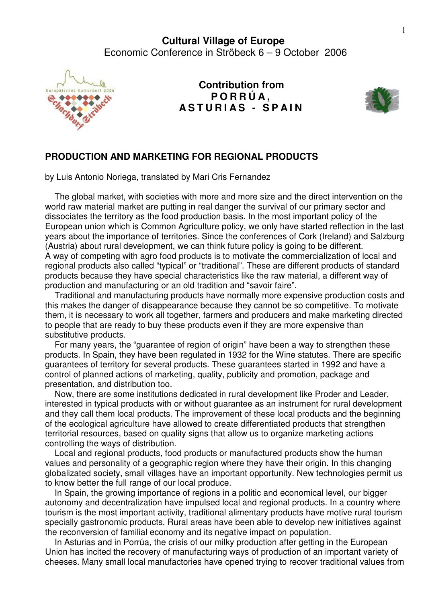

**Contribution from P O R R Ú A , A S T U R I A S - S P A I N**



## **PRODUCTION AND MARKETING FOR REGIONAL PRODUCTS**

by Luis Antonio Noriega, translated by Mari Cris Fernandez

 The global market, with societies with more and more size and the direct intervention on the world raw material market are putting in real danger the survival of our primary sector and dissociates the territory as the food production basis. In the most important policy of the European union which is Common Agriculture policy, we only have started reflection in the last years about the importance of territories. Since the conferences of Cork (Ireland) and Salzburg (Austria) about rural development, we can think future policy is going to be different. A way of competing with agro food products is to motivate the commercialization of local and regional products also called "typical" or "traditional". These are different products of standard products because they have special characteristics like the raw material, a different way of production and manufacturing or an old tradition and "savoir faire".

 Traditional and manufacturing products have normally more expensive production costs and this makes the danger of disappearance because they cannot be so competitive. To motivate them, it is necessary to work all together, farmers and producers and make marketing directed to people that are ready to buy these products even if they are more expensive than substitutive products.

 For many years, the "guarantee of region of origin" have been a way to strengthen these products. In Spain, they have been regulated in 1932 for the Wine statutes. There are specific guarantees of territory for several products. These guarantees started in 1992 and have a control of planned actions of marketing, quality, publicity and promotion, package and presentation, and distribution too.

 Now, there are some institutions dedicated in rural development like Proder and Leader, interested in typical products with or without guarantee as an instrument for rural development and they call them local products. The improvement of these local products and the beginning of the ecological agriculture have allowed to create differentiated products that strengthen territorial resources, based on quality signs that allow us to organize marketing actions controlling the ways of distribution.

 Local and regional products, food products or manufactured products show the human values and personality of a geographic region where they have their origin. In this changing globalizated society, small villages have an important opportunity. New technologies permit us to know better the full range of our local produce.

 In Spain, the growing importance of regions in a politic and economical level, our bigger autonomy and decentralization have impulsed local and regional products. In a country where tourism is the most important activity, traditional alimentary products have motive rural tourism specially gastronomic products. Rural areas have been able to develop new initiatives against the reconversion of familial economy and its negative impact on population.

 In Asturias and in Porrúa, the crisis of our milky production after getting in the European Union has incited the recovery of manufacturing ways of production of an important variety of cheeses. Many small local manufactories have opened trying to recover traditional values from